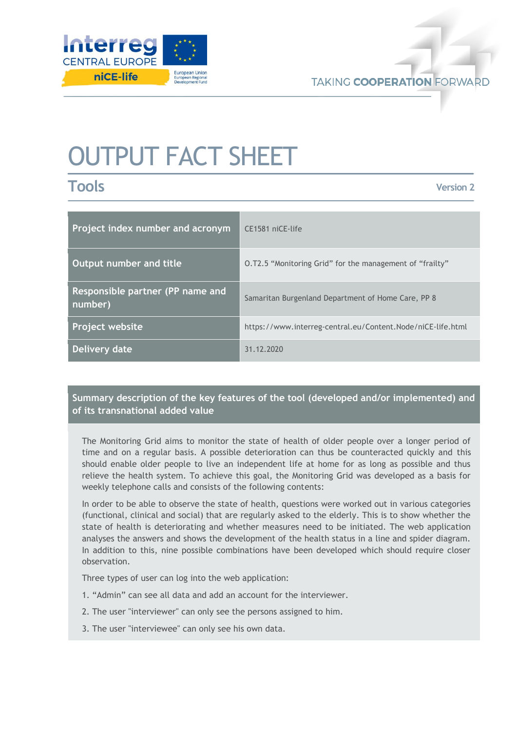

# OUTPUT FACT SHEET

**Tools**

**Version 2**

| Project index number and acronym            | CE1581 niCE-life                                            |
|---------------------------------------------|-------------------------------------------------------------|
| Output number and title                     | O.T2.5 "Monitoring Grid" for the management of "frailty"    |
| Responsible partner (PP name and<br>number) | Samaritan Burgenland Department of Home Care, PP 8          |
| Project website                             | https://www.interreg-central.eu/Content.Node/niCE-life.html |
| Delivery date                               | 31 12 2020                                                  |

## **Summary description of the key features of the tool (developed and/or implemented) and of its transnational added value**

The Monitoring Grid aims to monitor the state of health of older people over a longer period of time and on a regular basis. A possible deterioration can thus be counteracted quickly and this should enable older people to live an independent life at home for as long as possible and thus relieve the health system. To achieve this goal, the Monitoring Grid was developed as a basis for weekly telephone calls and consists of the following contents:

In order to be able to observe the state of health, questions were worked out in various categories (functional, clinical and social) that are regularly asked to the elderly. This is to show whether the state of health is deteriorating and whether measures need to be initiated. The web application analyses the answers and shows the development of the health status in a line and spider diagram. In addition to this, nine possible combinations have been developed which should require closer observation.

Three types of user can log into the web application:

- 1. "Admin" can see all data and add an account for the interviewer.
- 2. The user "interviewer" can only see the persons assigned to him.
- 3. The user "interviewee" can only see his own data.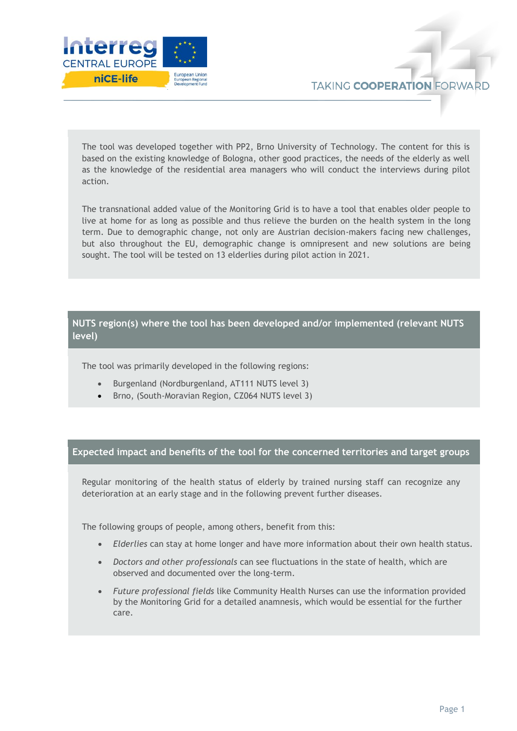

The tool was developed together with PP2, Brno University of Technology. The content for this is based on the existing knowledge of Bologna, other good practices, the needs of the elderly as well as the knowledge of the residential area managers who will conduct the interviews during pilot action.

The transnational added value of the Monitoring Grid is to have a tool that enables older people to live at home for as long as possible and thus relieve the burden on the health system in the long term. Due to demographic change, not only are Austrian decision-makers facing new challenges, but also throughout the EU, demographic change is omnipresent and new solutions are being sought. The tool will be tested on 13 elderlies during pilot action in 2021.

#### **NUTS region(s) where the tool has been developed and/or implemented (relevant NUTS level)**

The tool was primarily developed in the following regions:

- Burgenland (Nordburgenland, AT111 NUTS level 3)
- Brno, (South-Moravian Region, CZ064 NUTS level 3)

### **Expected impact and benefits of the tool for the concerned territories and target groups**

Regular monitoring of the health status of elderly by trained nursing staff can recognize any deterioration at an early stage and in the following prevent further diseases.

The following groups of people, among others, benefit from this:

- *Elderlies* can stay at home longer and have more information about their own health status.
- *Doctors and other professionals* can see fluctuations in the state of health, which are observed and documented over the long-term.
- *Future professional fields* like Community Health Nurses can use the information provided by the Monitoring Grid for a detailed anamnesis, which would be essential for the further care.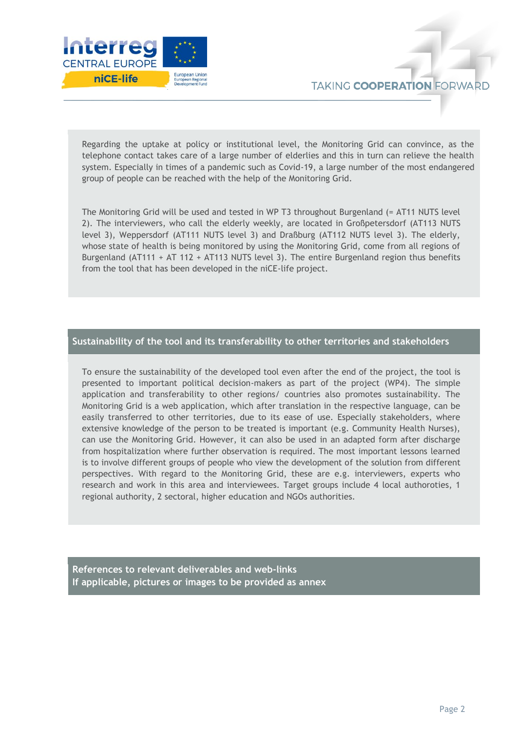

Regarding the uptake at policy or institutional level, the Monitoring Grid can convince, as the telephone contact takes care of a large number of elderlies and this in turn can relieve the health system. Especially in times of a pandemic such as Covid-19, a large number of the most endangered group of people can be reached with the help of the Monitoring Grid.

The Monitoring Grid will be used and tested in WP T3 throughout Burgenland (= AT11 NUTS level 2). The interviewers, who call the elderly weekly, are located in Großpetersdorf (AT113 NUTS level 3), Weppersdorf (AT111 NUTS level 3) and Draßburg (AT112 NUTS level 3). The elderly, whose state of health is being monitored by using the Monitoring Grid, come from all regions of Burgenland (AT111 + AT 112 + AT113 NUTS level 3). The entire Burgenland region thus benefits from the tool that has been developed in the niCE-life project.

#### **Sustainability of the tool and its transferability to other territories and stakeholders**

To ensure the sustainability of the developed tool even after the end of the project, the tool is presented to important political decision-makers as part of the project (WP4). The simple application and transferability to other regions/ countries also promotes sustainability. The Monitoring Grid is a web application, which after translation in the respective language, can be easily transferred to other territories, due to its ease of use. Especially stakeholders, where extensive knowledge of the person to be treated is important (e.g. Community Health Nurses), can use the Monitoring Grid. However, it can also be used in an adapted form after discharge from hospitalization where further observation is required. The most important lessons learned is to involve different groups of people who view the development of the solution from different perspectives. With regard to the Monitoring Grid, these are e.g. interviewers, experts who research and work in this area and interviewees. Target groups include 4 local authoroties, 1 regional authority, 2 sectoral, higher education and NGOs authorities.

**References to relevant deliverables and web-links If applicable, pictures or images to be provided as annex**